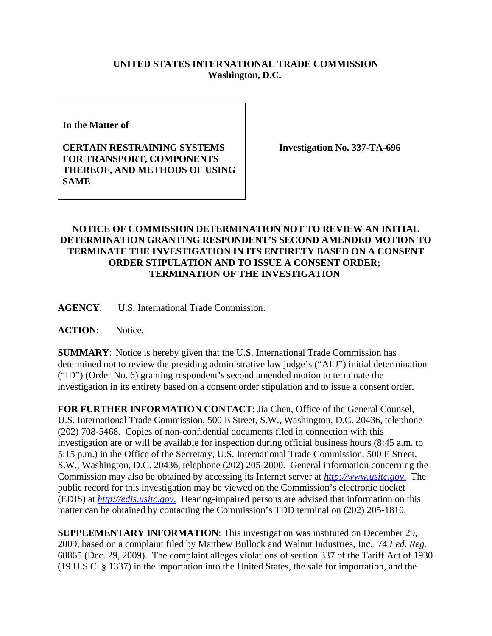## **UNITED STATES INTERNATIONAL TRADE COMMISSION Washington, D.C.**

**In the Matter of** 

**CERTAIN RESTRAINING SYSTEMS FOR TRANSPORT, COMPONENTS THEREOF, AND METHODS OF USING SAME**

**Investigation No. 337-TA-696**

## **NOTICE OF COMMISSION DETERMINATION NOT TO REVIEW AN INITIAL DETERMINATION GRANTING RESPONDENT'S SECOND AMENDED MOTION TO TERMINATE THE INVESTIGATION IN ITS ENTIRETY BASED ON A CONSENT ORDER STIPULATION AND TO ISSUE A CONSENT ORDER; TERMINATION OF THE INVESTIGATION**

**AGENCY**: U.S. International Trade Commission.

**ACTION**: Notice.

**SUMMARY**: Notice is hereby given that the U.S. International Trade Commission has determined not to review the presiding administrative law judge's ("ALJ") initial determination ("ID") (Order No. 6) granting respondent's second amended motion to terminate the investigation in its entirety based on a consent order stipulation and to issue a consent order.

**FOR FURTHER INFORMATION CONTACT**: Jia Chen, Office of the General Counsel, U.S. International Trade Commission, 500 E Street, S.W., Washington, D.C. 20436, telephone (202) 708-5468. Copies of non-confidential documents filed in connection with this investigation are or will be available for inspection during official business hours (8:45 a.m. to 5:15 p.m.) in the Office of the Secretary, U.S. International Trade Commission, 500 E Street, S.W., Washington, D.C. 20436, telephone (202) 205-2000. General information concerning the Commission may also be obtained by accessing its Internet server at *http://www.usitc.gov*. The public record for this investigation may be viewed on the Commission's electronic docket (EDIS) at *http://edis.usitc.gov*. Hearing-impaired persons are advised that information on this matter can be obtained by contacting the Commission's TDD terminal on (202) 205-1810.

**SUPPLEMENTARY INFORMATION**: This investigation was instituted on December 29, 2009, based on a complaint filed by Matthew Bullock and Walnut Industries, Inc. 74 *Fed. Reg.* 68865 (Dec. 29, 2009). The complaint alleges violations of section 337 of the Tariff Act of 1930 (19 U.S.C. § 1337) in the importation into the United States, the sale for importation, and the